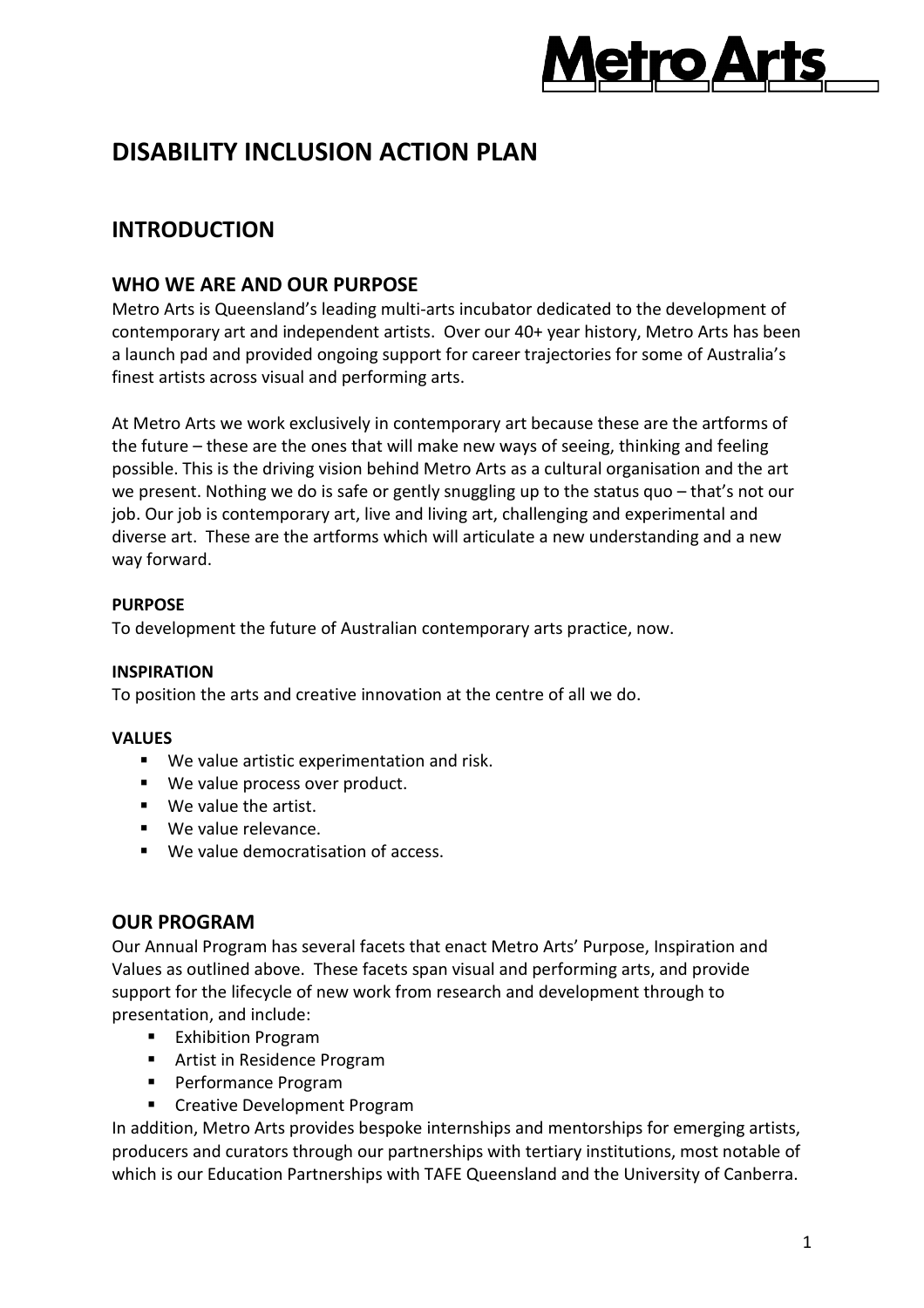

# **DISABILITY INCLUSION ACTION PLAN**

## **INTRODUCTION**

### **WHO WE ARE AND OUR PURPOSE**

Metro Arts is Queensland's leading multi-arts incubator dedicated to the development of contemporary art and independent artists. Over our 40+ year history, Metro Arts has been a launch pad and provided ongoing support for career trajectories for some of Australia's finest artists across visual and performing arts.

At Metro Arts we work exclusively in contemporary art because these are the artforms of the future – these are the ones that will make new ways of seeing, thinking and feeling possible. This is the driving vision behind Metro Arts as a cultural organisation and the art we present. Nothing we do is safe or gently snuggling up to the status quo – that's not our job. Our job is contemporary art, live and living art, challenging and experimental and diverse art. These are the artforms which will articulate a new understanding and a new way forward.

#### **PURPOSE**

To development the future of Australian contemporary arts practice, now.

#### **INSPIRATION**

To position the arts and creative innovation at the centre of all we do.

#### **VALUES**

- We value artistic experimentation and risk.
- We value process over product.
- We value the artist.
- We value relevance.
- We value democratisation of access.

#### **OUR PROGRAM**

Our Annual Program has several facets that enact Metro Arts' Purpose, Inspiration and Values as outlined above. These facets span visual and performing arts, and provide support for the lifecycle of new work from research and development through to presentation, and include:

- **Exhibition Program**
- Artist in Residence Program
- **Performance Program**
- **EXP** Creative Development Program

In addition, Metro Arts provides bespoke internships and mentorships for emerging artists, producers and curators through our partnerships with tertiary institutions, most notable of which is our Education Partnerships with TAFE Queensland and the University of Canberra.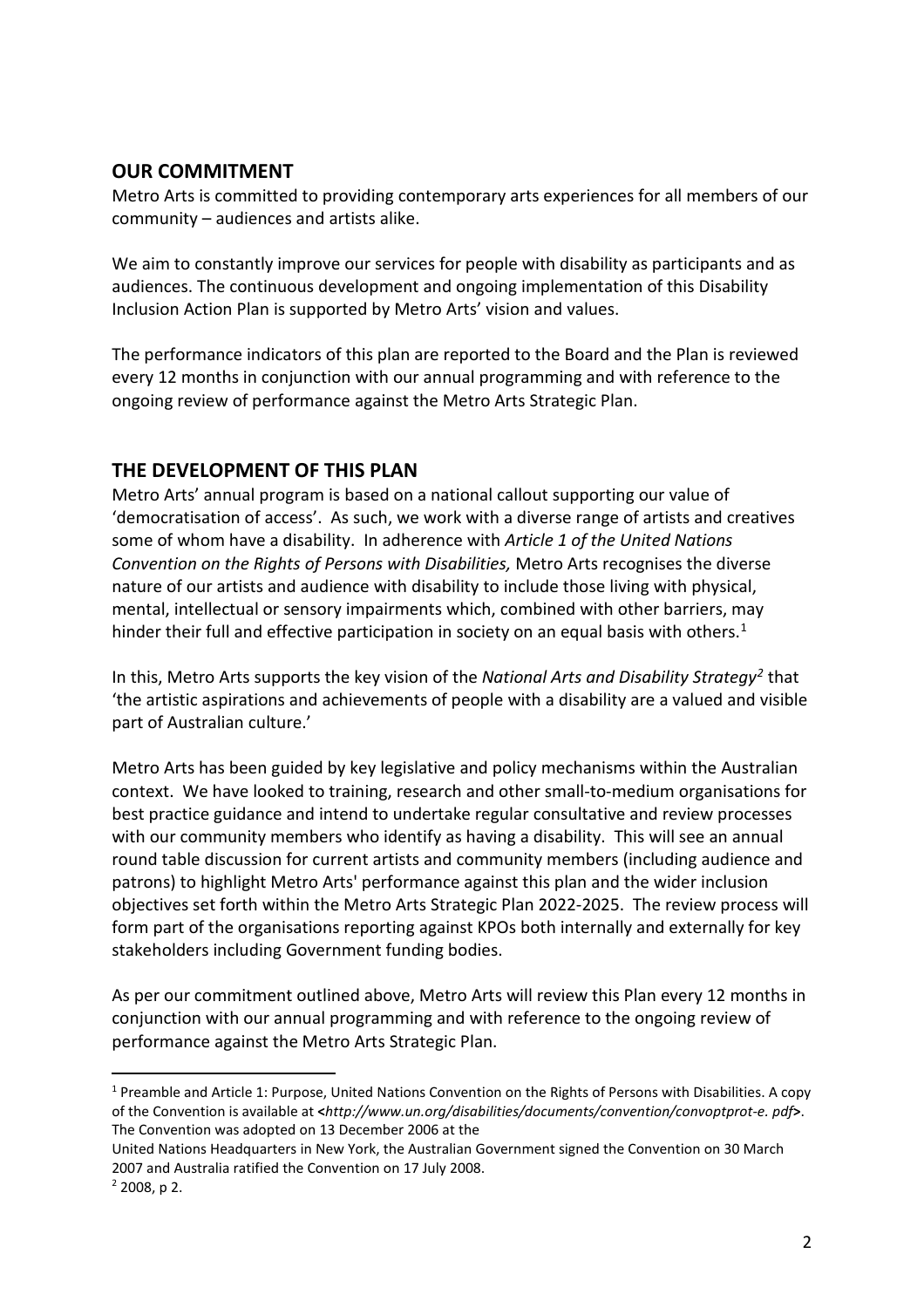### **OUR COMMITMENT**

Metro Arts is committed to providing contemporary arts experiences for all members of our community – audiences and artists alike.

We aim to constantly improve our services for people with disability as participants and as audiences. The continuous development and ongoing implementation of this Disability Inclusion Action Plan is supported by Metro Arts' vision and values.

The performance indicators of this plan are reported to the Board and the Plan is reviewed every 12 months in conjunction with our annual programming and with reference to the ongoing review of performance against the Metro Arts Strategic Plan.

### **THE DEVELOPMENT OF THIS PLAN**

Metro Arts' annual program is based on a national callout supporting our value of 'democratisation of access'. As such, we work with a diverse range of artists and creatives some of whom have a disability. In adherence with *Article 1 of the United Nations Convention on the Rights of Persons with Disabilities,* Metro Arts recognises the diverse nature of our artists and audience with disability to include those living with physical, mental, intellectual or sensory impairments which, combined with other barriers, may hinder their full and effective participation in society on an equal basis with others.<sup>[1](#page-1-0)</sup>

In this, Metro Arts supports the key vision of the *National Arts and Disability Strategy[2](#page-1-1)* that 'the artistic aspirations and achievements of people with a disability are a valued and visible part of Australian culture.'

Metro Arts has been guided by key legislative and policy mechanisms within the Australian context. We have looked to training, research and other small-to-medium organisations for best practice guidance and intend to undertake regular consultative and review processes with our community members who identify as having a disability. This will see an annual round table discussion for current artists and community members (including audience and patrons) to highlight Metro Arts' performance against this plan and the wider inclusion objectives set forth within the Metro Arts Strategic Plan 2022-2025. The review process will form part of the organisations reporting against KPOs both internally and externally for key stakeholders including Government funding bodies.

As per our commitment outlined above, Metro Arts will review this Plan every 12 months in conjunction with our annual programming and with reference to the ongoing review of performance against the Metro Arts Strategic Plan.

<span id="page-1-0"></span> <sup>1</sup> Preamble and Article 1: Purpose, United Nations Convention on the Rights of Persons with Disabilities. A copy of the Convention is available at **<***http://www.un.org/disabilities/documents/convention/convoptprot-e. pdf***>**. The Convention was adopted on 13 December 2006 at the

United Nations Headquarters in New York, the Australian Government signed the Convention on 30 March 2007 and Australia ratified the Convention on 17 July 2008.

<span id="page-1-1"></span> $2$  2008, p 2.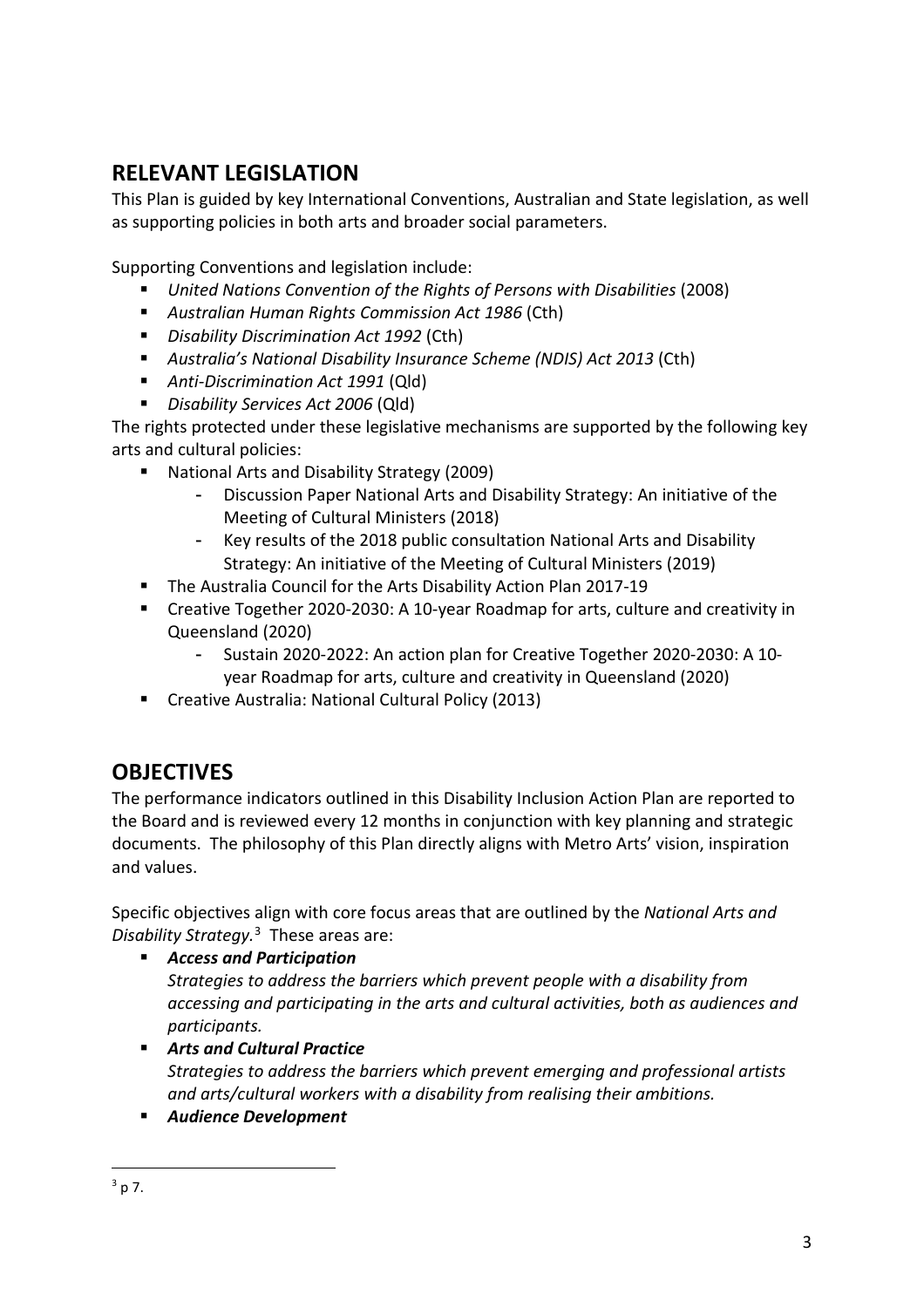# **RELEVANT LEGISLATION**

This Plan is guided by key International Conventions, Australian and State legislation, as well as supporting policies in both arts and broader social parameters.

Supporting Conventions and legislation include:

- *United Nations Convention of the Rights of Persons with Disabilities* (2008)
- *Australian Human Rights Commission Act 1986* (Cth)
- *Disability Discrimination Act 1992* (Cth)
- *Australia's National Disability Insurance Scheme (NDIS) Act 2013* (Cth)
- *Anti-Discrimination Act 1991* (Qld)
- *Disability Services Act 2006* (Qld)

The rights protected under these legislative mechanisms are supported by the following key arts and cultural policies:

- National Arts and Disability Strategy (2009)
	- Discussion Paper National Arts and Disability Strategy: An initiative of the Meeting of Cultural Ministers (2018)
	- Key results of the 2018 public consultation National Arts and Disability Strategy: An initiative of the Meeting of Cultural Ministers (2019)
- **The Australia Council for the Arts Disability Action Plan 2017-19**
- Creative Together 2020-2030: A 10-year Roadmap for arts, culture and creativity in Queensland (2020)
	- Sustain 2020-2022: An action plan for Creative Together 2020-2030: A 10 year Roadmap for arts, culture and creativity in Queensland (2020)
- Creative Australia: National Cultural Policy (2013)

# **OBJECTIVES**

The performance indicators outlined in this Disability Inclusion Action Plan are reported to the Board and is reviewed every 12 months in conjunction with key planning and strategic documents. The philosophy of this Plan directly aligns with Metro Arts' vision, inspiration and values.

Specific objectives align with core focus areas that are outlined by the *National Arts and Disability Strategy.*[3](#page-2-0) These areas are:

*Access and Participation*

*Strategies to address the barriers which prevent people with a disability from accessing and participating in the arts and cultural activities, both as audiences and participants.*

- *Arts and Cultural Practice Strategies to address the barriers which prevent emerging and professional artists and arts/cultural workers with a disability from realising their ambitions.*
- <span id="page-2-0"></span>*Audience Development*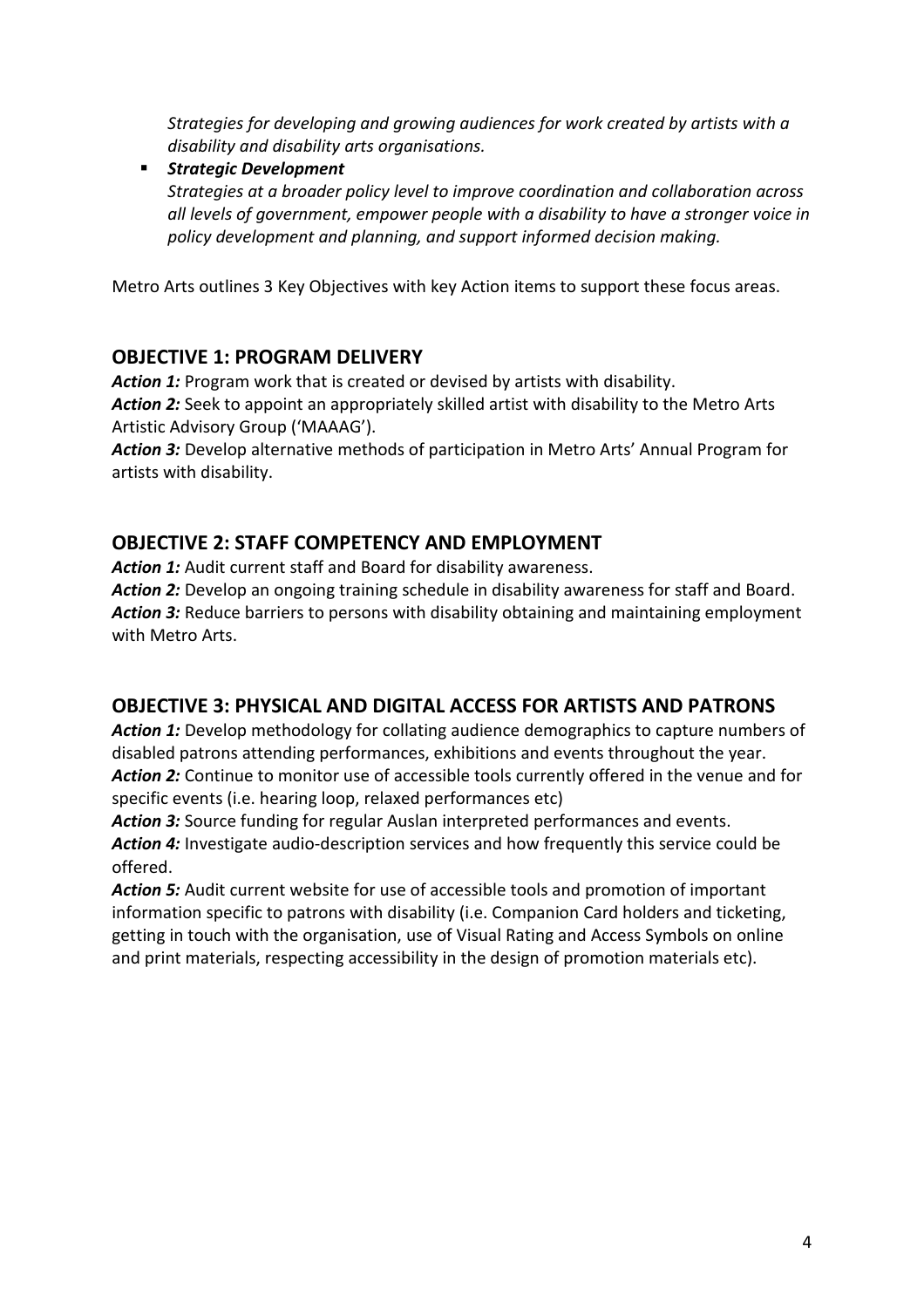*Strategies for developing and growing audiences for work created by artists with a disability and disability arts organisations.*

 *Strategic Development Strategies at a broader policy level to improve coordination and collaboration across all levels of government, empower people with a disability to have a stronger voice in policy development and planning, and support informed decision making.*

Metro Arts outlines 3 Key Objectives with key Action items to support these focus areas.

### **OBJECTIVE 1: PROGRAM DELIVERY**

Action 1: Program work that is created or devised by artists with disability. *Action 2:* Seek to appoint an appropriately skilled artist with disability to the Metro Arts Artistic Advisory Group ('MAAAG').

*Action 3:* Develop alternative methods of participation in Metro Arts' Annual Program for artists with disability.

## **OBJECTIVE 2: STAFF COMPETENCY AND EMPLOYMENT**

Action 1: Audit current staff and Board for disability awareness.

Action 2: Develop an ongoing training schedule in disability awareness for staff and Board. Action 3: Reduce barriers to persons with disability obtaining and maintaining employment with Metro Arts.

### **OBJECTIVE 3: PHYSICAL AND DIGITAL ACCESS FOR ARTISTS AND PATRONS**

Action 1: Develop methodology for collating audience demographics to capture numbers of disabled patrons attending performances, exhibitions and events throughout the year. *Action 2:* Continue to monitor use of accessible tools currently offered in the venue and for specific events (i.e. hearing loop, relaxed performances etc)

*Action 3:* Source funding for regular Auslan interpreted performances and events. *Action 4:* Investigate audio-description services and how frequently this service could be offered.

*Action 5:* Audit current website for use of accessible tools and promotion of important information specific to patrons with disability (i.e. Companion Card holders and ticketing, getting in touch with the organisation, use of Visual Rating and Access Symbols on online and print materials, respecting accessibility in the design of promotion materials etc).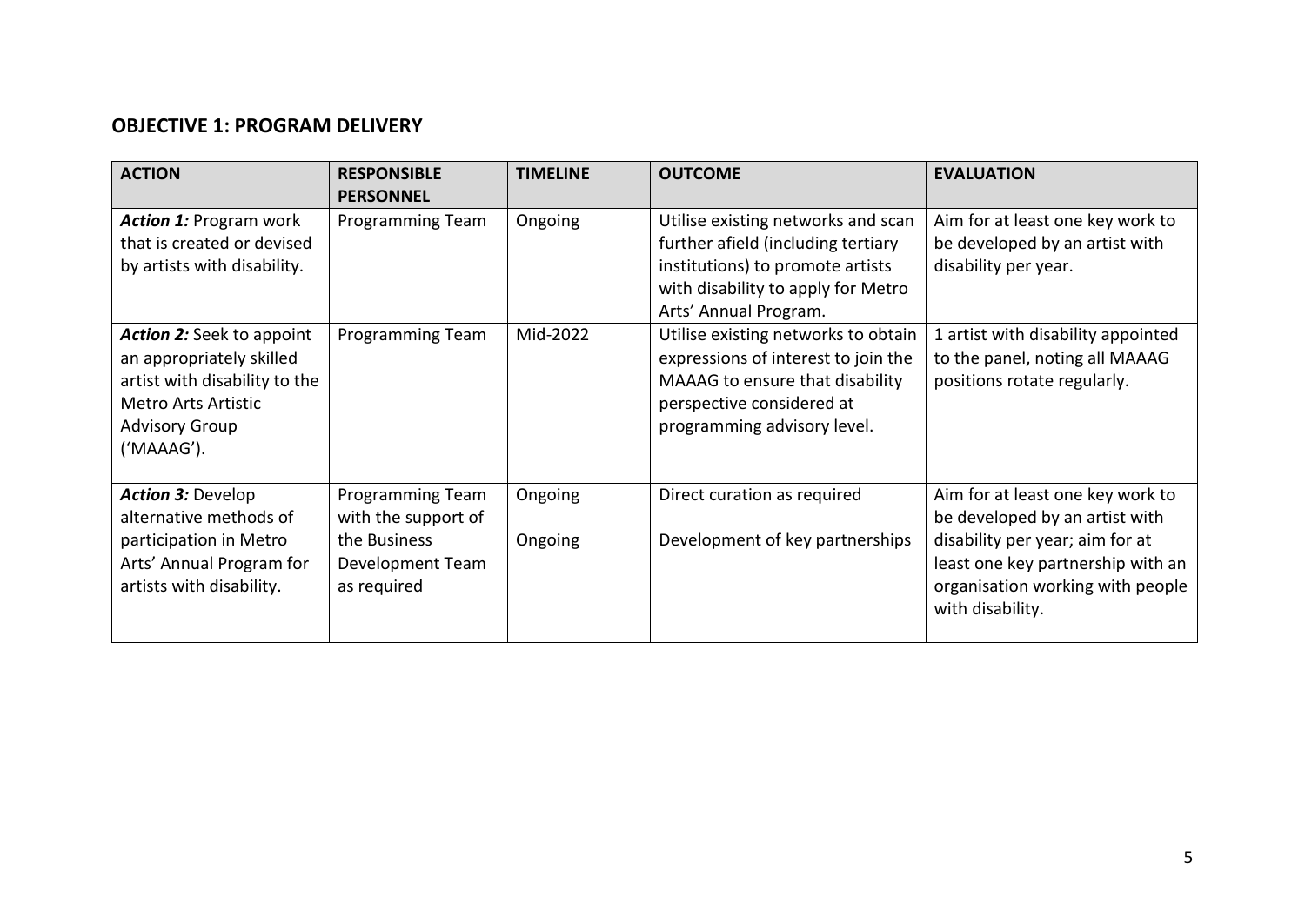### **OBJECTIVE 1: PROGRAM DELIVERY**

| <b>ACTION</b>                                                                                                                                                      | <b>RESPONSIBLE</b><br><b>PERSONNEL</b>                                                            | <b>TIMELINE</b>    | <b>OUTCOME</b>                                                                                                                                                              | <b>EVALUATION</b>                                                                                                                                                                                  |
|--------------------------------------------------------------------------------------------------------------------------------------------------------------------|---------------------------------------------------------------------------------------------------|--------------------|-----------------------------------------------------------------------------------------------------------------------------------------------------------------------------|----------------------------------------------------------------------------------------------------------------------------------------------------------------------------------------------------|
| <b>Action 1: Program work</b><br>that is created or devised<br>by artists with disability.                                                                         | Programming Team                                                                                  | Ongoing            | Utilise existing networks and scan<br>further afield (including tertiary<br>institutions) to promote artists<br>with disability to apply for Metro<br>Arts' Annual Program. | Aim for at least one key work to<br>be developed by an artist with<br>disability per year.                                                                                                         |
| <b>Action 2:</b> Seek to appoint<br>an appropriately skilled<br>artist with disability to the<br><b>Metro Arts Artistic</b><br><b>Advisory Group</b><br>('MAAAG'). | Programming Team                                                                                  | Mid-2022           | Utilise existing networks to obtain<br>expressions of interest to join the<br>MAAAG to ensure that disability<br>perspective considered at<br>programming advisory level.   | 1 artist with disability appointed<br>to the panel, noting all MAAAG<br>positions rotate regularly.                                                                                                |
| <b>Action 3: Develop</b><br>alternative methods of<br>participation in Metro<br>Arts' Annual Program for<br>artists with disability.                               | <b>Programming Team</b><br>with the support of<br>the Business<br>Development Team<br>as required | Ongoing<br>Ongoing | Direct curation as required<br>Development of key partnerships                                                                                                              | Aim for at least one key work to<br>be developed by an artist with<br>disability per year; aim for at<br>least one key partnership with an<br>organisation working with people<br>with disability. |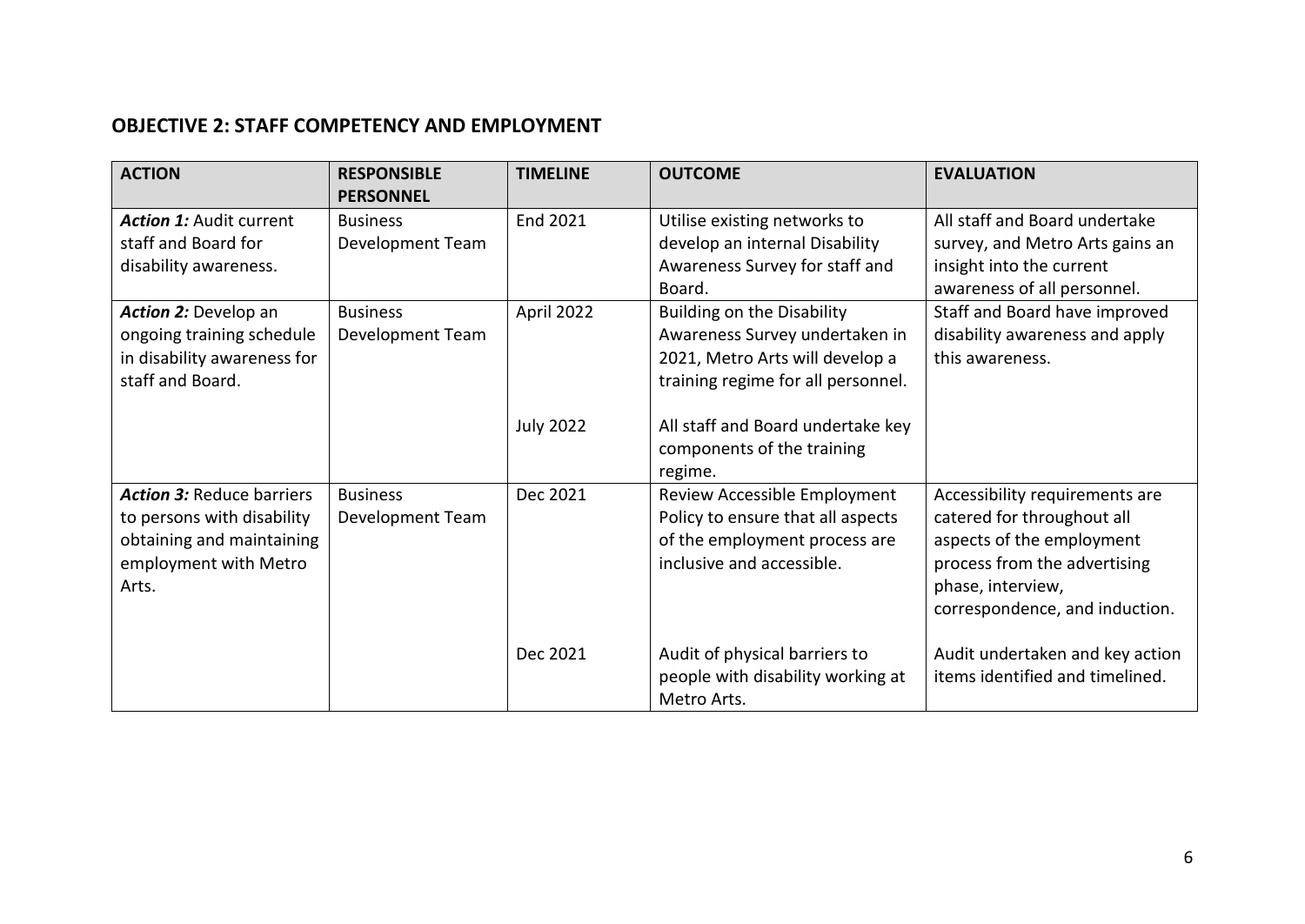### **OBJECTIVE 2: STAFF COMPETENCY AND EMPLOYMENT**

| <b>ACTION</b>                                                                                                                 | <b>RESPONSIBLE</b><br><b>PERSONNEL</b> | <b>TIMELINE</b>                | <b>OUTCOME</b>                                                                                                                                                                                                             | <b>EVALUATION</b>                                                                                                                                                                |
|-------------------------------------------------------------------------------------------------------------------------------|----------------------------------------|--------------------------------|----------------------------------------------------------------------------------------------------------------------------------------------------------------------------------------------------------------------------|----------------------------------------------------------------------------------------------------------------------------------------------------------------------------------|
| <b>Action 1: Audit current</b><br>staff and Board for<br>disability awareness.                                                | <b>Business</b><br>Development Team    | End 2021                       | Utilise existing networks to<br>develop an internal Disability<br>Awareness Survey for staff and<br>Board.                                                                                                                 | All staff and Board undertake<br>survey, and Metro Arts gains an<br>insight into the current<br>awareness of all personnel.                                                      |
| <b>Action 2: Develop an</b><br>ongoing training schedule<br>in disability awareness for<br>staff and Board.                   | <b>Business</b><br>Development Team    | April 2022<br><b>July 2022</b> | <b>Building on the Disability</b><br>Awareness Survey undertaken in<br>2021, Metro Arts will develop a<br>training regime for all personnel.<br>All staff and Board undertake key<br>components of the training<br>regime. | Staff and Board have improved<br>disability awareness and apply<br>this awareness.                                                                                               |
| <b>Action 3: Reduce barriers</b><br>to persons with disability<br>obtaining and maintaining<br>employment with Metro<br>Arts. | <b>Business</b><br>Development Team    | Dec 2021                       | Review Accessible Employment<br>Policy to ensure that all aspects<br>of the employment process are<br>inclusive and accessible.                                                                                            | Accessibility requirements are<br>catered for throughout all<br>aspects of the employment<br>process from the advertising<br>phase, interview,<br>correspondence, and induction. |
|                                                                                                                               |                                        | Dec 2021                       | Audit of physical barriers to<br>people with disability working at<br>Metro Arts.                                                                                                                                          | Audit undertaken and key action<br>items identified and timelined.                                                                                                               |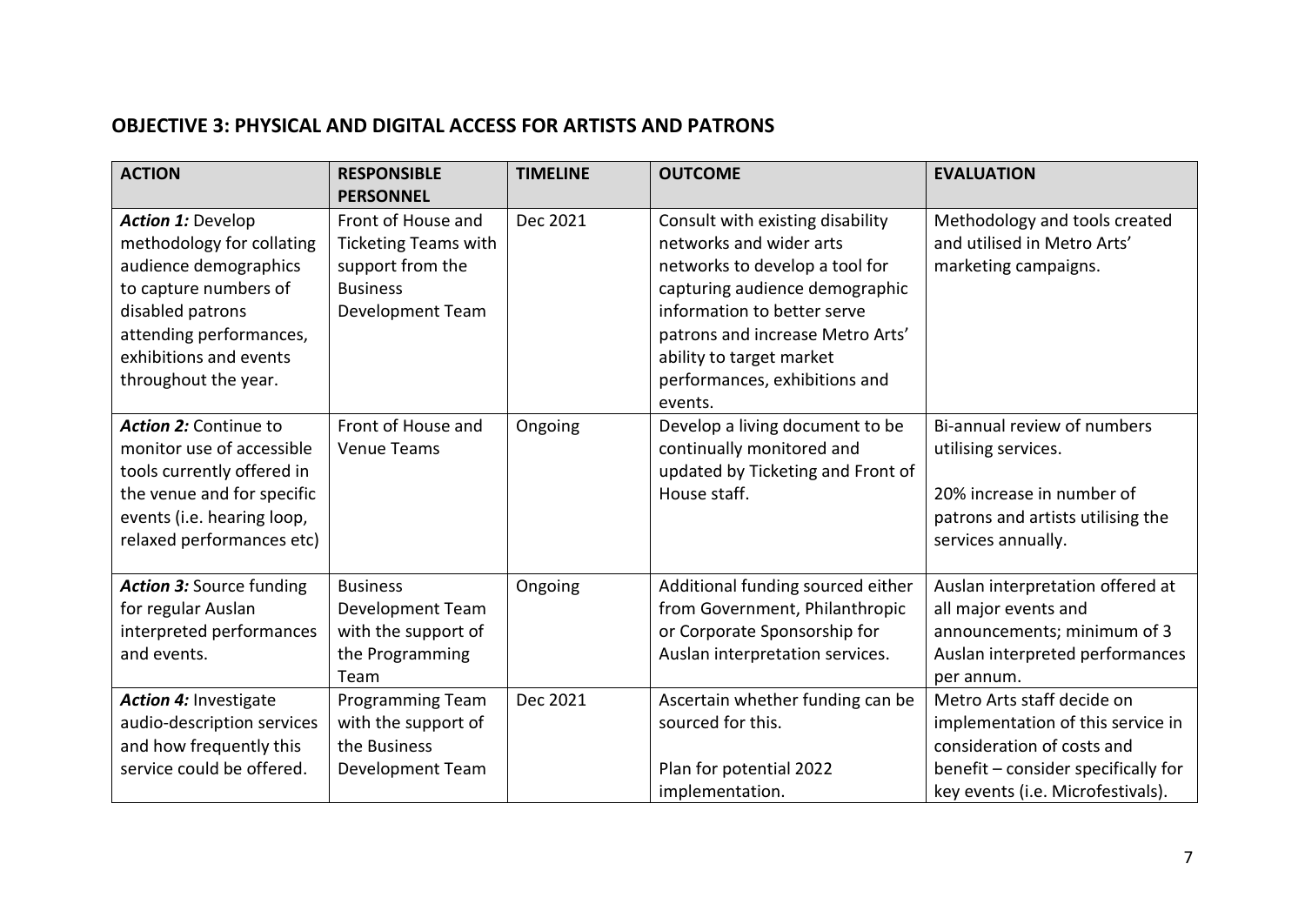### **OBJECTIVE 3: PHYSICAL AND DIGITAL ACCESS FOR ARTISTS AND PATRONS**

| <b>ACTION</b>                                                                                                                                                                                            | <b>RESPONSIBLE</b><br><b>PERSONNEL</b>                                                                              | <b>TIMELINE</b> | <b>OUTCOME</b>                                                                                                                                                                                                                                                             | <b>EVALUATION</b>                                                                                                                                                         |
|----------------------------------------------------------------------------------------------------------------------------------------------------------------------------------------------------------|---------------------------------------------------------------------------------------------------------------------|-----------------|----------------------------------------------------------------------------------------------------------------------------------------------------------------------------------------------------------------------------------------------------------------------------|---------------------------------------------------------------------------------------------------------------------------------------------------------------------------|
| <b>Action 1: Develop</b><br>methodology for collating<br>audience demographics<br>to capture numbers of<br>disabled patrons<br>attending performances,<br>exhibitions and events<br>throughout the year. | Front of House and<br><b>Ticketing Teams with</b><br>support from the<br><b>Business</b><br><b>Development Team</b> | Dec 2021        | Consult with existing disability<br>networks and wider arts<br>networks to develop a tool for<br>capturing audience demographic<br>information to better serve<br>patrons and increase Metro Arts'<br>ability to target market<br>performances, exhibitions and<br>events. | Methodology and tools created<br>and utilised in Metro Arts'<br>marketing campaigns.                                                                                      |
| Action 2: Continue to<br>monitor use of accessible<br>tools currently offered in<br>the venue and for specific<br>events (i.e. hearing loop,<br>relaxed performances etc)                                | Front of House and<br><b>Venue Teams</b>                                                                            | Ongoing         | Develop a living document to be<br>continually monitored and<br>updated by Ticketing and Front of<br>House staff.                                                                                                                                                          | Bi-annual review of numbers<br>utilising services.<br>20% increase in number of<br>patrons and artists utilising the<br>services annually.                                |
| <b>Action 3: Source funding</b><br>for regular Auslan<br>interpreted performances<br>and events.                                                                                                         | <b>Business</b><br>Development Team<br>with the support of<br>the Programming<br>Team                               | Ongoing         | Additional funding sourced either<br>from Government, Philanthropic<br>or Corporate Sponsorship for<br>Auslan interpretation services.                                                                                                                                     | Auslan interpretation offered at<br>all major events and<br>announcements; minimum of 3<br>Auslan interpreted performances<br>per annum.                                  |
| <b>Action 4: Investigate</b><br>audio-description services<br>and how frequently this<br>service could be offered.                                                                                       | Programming Team<br>with the support of<br>the Business<br><b>Development Team</b>                                  | Dec 2021        | Ascertain whether funding can be<br>sourced for this.<br>Plan for potential 2022<br>implementation.                                                                                                                                                                        | Metro Arts staff decide on<br>implementation of this service in<br>consideration of costs and<br>benefit - consider specifically for<br>key events (i.e. Microfestivals). |